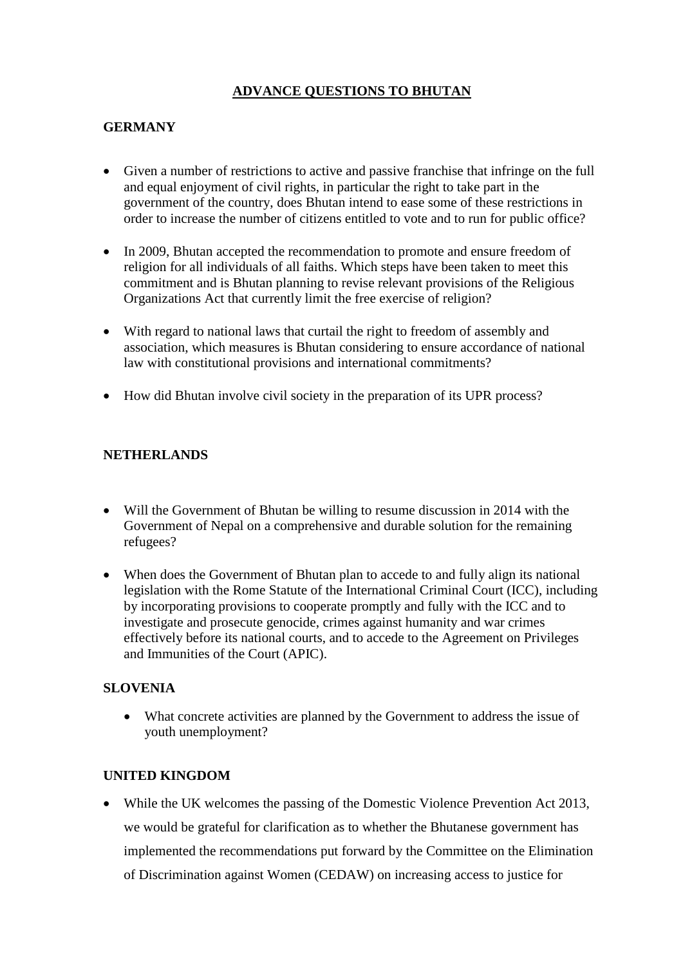# **ADVANCE QUESTIONS TO BHUTAN**

# **GERMANY**

- Given a number of restrictions to active and passive franchise that infringe on the full and equal enjoyment of civil rights, in particular the right to take part in the government of the country, does Bhutan intend to ease some of these restrictions in order to increase the number of citizens entitled to vote and to run for public office?
- In 2009, Bhutan accepted the recommendation to promote and ensure freedom of religion for all individuals of all faiths. Which steps have been taken to meet this commitment and is Bhutan planning to revise relevant provisions of the Religious Organizations Act that currently limit the free exercise of religion?
- With regard to national laws that curtail the right to freedom of assembly and association, which measures is Bhutan considering to ensure accordance of national law with constitutional provisions and international commitments?
- How did Bhutan involve civil society in the preparation of its UPR process?

### **NETHERLANDS**

- Will the Government of Bhutan be willing to resume discussion in 2014 with the Government of Nepal on a comprehensive and durable solution for the remaining refugees?
- When does the Government of Bhutan plan to accede to and fully align its national legislation with the Rome Statute of the International Criminal Court (ICC), including by incorporating provisions to cooperate promptly and fully with the ICC and to investigate and prosecute genocide, crimes against humanity and war crimes effectively before its national courts, and to accede to the Agreement on Privileges and Immunities of the Court (APIC).

### **SLOVENIA**

 What concrete activities are planned by the Government to address the issue of youth unemployment?

### **UNITED KINGDOM**

 While the UK welcomes the passing of the Domestic Violence Prevention Act 2013, we would be grateful for clarification as to whether the Bhutanese government has implemented the recommendations put forward by the Committee on the Elimination of Discrimination against Women (CEDAW) on increasing access to justice for